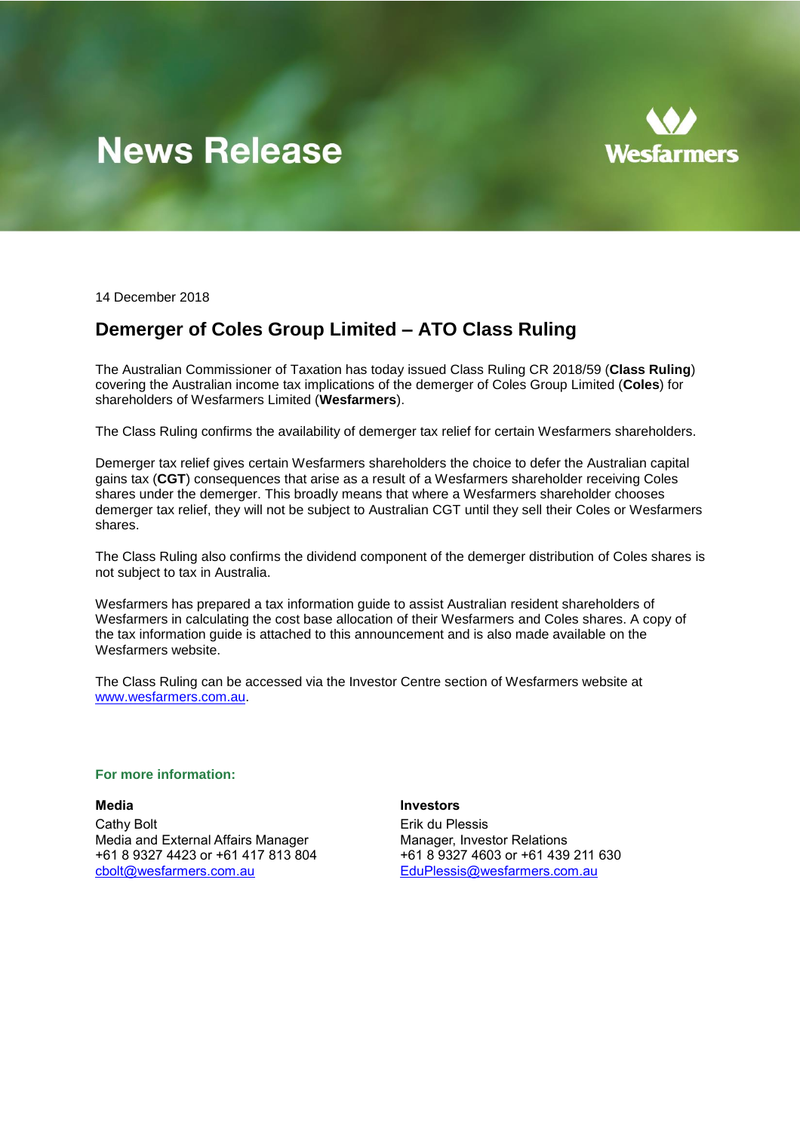# **News Release**



14 December 2018

## **Demerger of Coles Group Limited – ATO Class Ruling**

The Australian Commissioner of Taxation has today issued Class Ruling CR 2018/59 (**Class Ruling**) covering the Australian income tax implications of the demerger of Coles Group Limited (**Coles**) for shareholders of Wesfarmers Limited (**Wesfarmers**).

The Class Ruling confirms the availability of demerger tax relief for certain Wesfarmers shareholders.

Demerger tax relief gives certain Wesfarmers shareholders the choice to defer the Australian capital gains tax (**CGT**) consequences that arise as a result of a Wesfarmers shareholder receiving Coles shares under the demerger. This broadly means that where a Wesfarmers shareholder chooses demerger tax relief, they will not be subject to Australian CGT until they sell their Coles or Wesfarmers shares.

The Class Ruling also confirms the dividend component of the demerger distribution of Coles shares is not subject to tax in Australia.

Wesfarmers has prepared a tax information guide to assist Australian resident shareholders of Wesfarmers in calculating the cost base allocation of their Wesfarmers and Coles shares. A copy of the tax information guide is attached to this announcement and is also made available on the Wesfarmers website.

The Class Ruling can be accessed via the Investor Centre section of Wesfarmers website at [www.wesfarmers.com.au.](http://www.wesfarmers.com.au/)

#### **For more information:**

**Media Investors**

Cathy Bolt **Example 2018** Cathy Bolt **Example 2018** Erik du Plessis Media and External Affairs Manager Manager, Investor Relations +61 8 9327 4423 or +61 417 813 804 +61 8 9327 4603 or +61 439 211 630 [cbolt@wesfarmers.com.au](mailto:cbolt@wesfarmers.com.au) EduPlessis@wesfarmers.com.au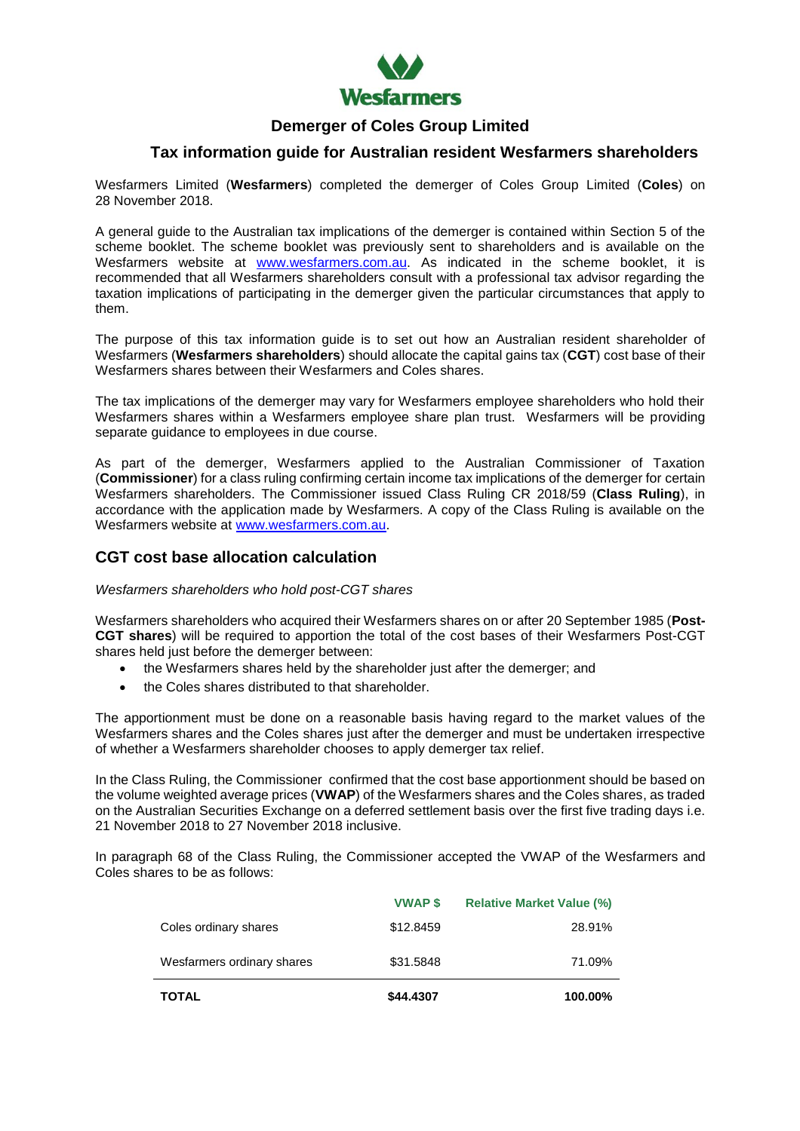

## **Demerger of Coles Group Limited**

## **Tax information guide for Australian resident Wesfarmers shareholders**

Wesfarmers Limited (**Wesfarmers**) completed the demerger of Coles Group Limited (**Coles**) on 28 November 2018.

A general guide to the Australian tax implications of the demerger is contained within Section 5 of the scheme booklet. The scheme booklet was previously sent to shareholders and is available on the Wesfarmers website at [www.wesfarmers.com.au.](http://www.wesfarmers.com.au/) As indicated in the scheme booklet, it is recommended that all Wesfarmers shareholders consult with a professional tax advisor regarding the taxation implications of participating in the demerger given the particular circumstances that apply to them.

The purpose of this tax information guide is to set out how an Australian resident shareholder of Wesfarmers (**Wesfarmers shareholders**) should allocate the capital gains tax (**CGT**) cost base of their Wesfarmers shares between their Wesfarmers and Coles shares.

The tax implications of the demerger may vary for Wesfarmers employee shareholders who hold their Wesfarmers shares within a Wesfarmers employee share plan trust. Wesfarmers will be providing separate guidance to employees in due course.

As part of the demerger, Wesfarmers applied to the Australian Commissioner of Taxation (**Commissioner**) for a class ruling confirming certain income tax implications of the demerger for certain Wesfarmers shareholders. The Commissioner issued Class Ruling CR 2018/59 (**Class Ruling**), in accordance with the application made by Wesfarmers. A copy of the Class Ruling is available on the Wesfarmers website at [www.wesfarmers.com.au.](http://www.wesfarmers.com.au/)

## **CGT cost base allocation calculation**

#### *Wesfarmers shareholders who hold post-CGT shares*

Wesfarmers shareholders who acquired their Wesfarmers shares on or after 20 September 1985 (**Post-CGT shares**) will be required to apportion the total of the cost bases of their Wesfarmers Post-CGT shares held just before the demerger between:

- the Wesfarmers shares held by the shareholder just after the demerger; and
- the Coles shares distributed to that shareholder.

The apportionment must be done on a reasonable basis having regard to the market values of the Wesfarmers shares and the Coles shares just after the demerger and must be undertaken irrespective of whether a Wesfarmers shareholder chooses to apply demerger tax relief.

In the Class Ruling, the Commissioner confirmed that the cost base apportionment should be based on the volume weighted average prices (**VWAP**) of the Wesfarmers shares and the Coles shares, as traded on the Australian Securities Exchange on a deferred settlement basis over the first five trading days i.e. 21 November 2018 to 27 November 2018 inclusive.

In paragraph 68 of the Class Ruling, the Commissioner accepted the VWAP of the Wesfarmers and Coles shares to be as follows:

| <b>TOTAL</b>               | \$44.4307      | 100.00%                          |
|----------------------------|----------------|----------------------------------|
| Wesfarmers ordinary shares | \$31,5848      | 71.09%                           |
| Coles ordinary shares      | \$12,8459      | 28.91%                           |
|                            | <b>VWAP \$</b> | <b>Relative Market Value (%)</b> |